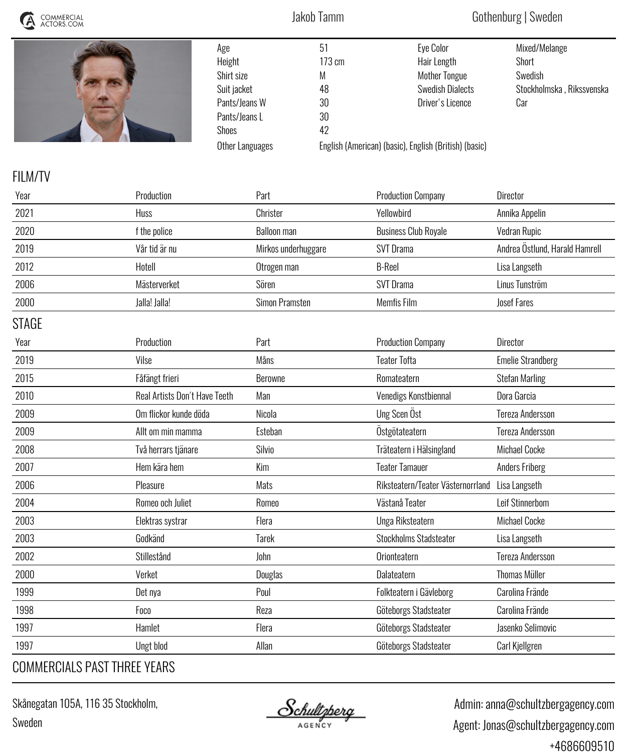| COMMERCIAL<br>ACTORS.COM |                                                            | Jakob Tamm                                        |                                           | Gothenburg   Sweden                                                                                                                                             |                                                                              |  |
|--------------------------|------------------------------------------------------------|---------------------------------------------------|-------------------------------------------|-----------------------------------------------------------------------------------------------------------------------------------------------------------------|------------------------------------------------------------------------------|--|
|                          | Age<br>Height<br>Shirt size<br>Suit jacket<br><b>Shoes</b> | Pants/Jeans W<br>Pants/Jeans L<br>Other Languages | 51<br>173 cm<br>М<br>48<br>30<br>30<br>42 | <b>Eye Color</b><br>Hair Length<br><b>Mother Tongue</b><br><b>Swedish Dialects</b><br>Driver's Licence<br>English (American) (basic), English (British) (basic) | Mixed/Melange<br><b>Short</b><br>Swedish<br>Stockholmska, Rikssvenska<br>Car |  |
| <b>FILM/TV</b>           |                                                            |                                                   |                                           |                                                                                                                                                                 |                                                                              |  |
| Year                     | Production                                                 | Part                                              |                                           | <b>Production Company</b>                                                                                                                                       | <b>Director</b>                                                              |  |
| 2021                     | Huss                                                       | Christer                                          |                                           | Yellowbird                                                                                                                                                      | Annika Appelin                                                               |  |
| 2020                     | f the police                                               | <b>Balloon man</b>                                |                                           | <b>Business Club Royale</b>                                                                                                                                     | Vedran Rupic                                                                 |  |
| 2019                     | Vår tid är nu                                              | Mirkos underhuggare                               |                                           | <b>SVT Drama</b>                                                                                                                                                | Andrea Östlund, Harald Hamrell                                               |  |
| 2012                     | Hotell                                                     | Otrogen man                                       |                                           | <b>B-Reel</b>                                                                                                                                                   | Lisa Langseth                                                                |  |
| 2006                     | Mästerverket                                               | Sören                                             |                                           | <b>SVT Drama</b>                                                                                                                                                | Linus Tunström                                                               |  |
| 2000                     | Jalla! Jalla!                                              | Simon Pramsten                                    |                                           | Memfis Film                                                                                                                                                     | <b>Josef Fares</b>                                                           |  |
| <b>STAGE</b>             |                                                            |                                                   |                                           |                                                                                                                                                                 |                                                                              |  |
| Year                     | Production                                                 | Part                                              |                                           | <b>Production Company</b>                                                                                                                                       | <b>Director</b>                                                              |  |
| 2019                     | Vilse                                                      | Måns                                              |                                           | <b>Teater Tofta</b>                                                                                                                                             | <b>Emelie Strandberg</b>                                                     |  |
| 2015                     | Fåfängt frieri                                             | Berowne                                           |                                           | Romateatern                                                                                                                                                     | <b>Stefan Marling</b>                                                        |  |
| 2010                     | Real Artists Don't Have Teeth                              | Man                                               |                                           | Venedigs Konstbiennal                                                                                                                                           | Dora Garcia                                                                  |  |
| 2009                     | Om flickor kunde döda                                      | Nicola                                            |                                           | Ung Scen Öst                                                                                                                                                    | <b>Tereza Andersson</b>                                                      |  |
| 2009                     | Allt om min mamma                                          | Esteban                                           |                                           | Östgötateatern                                                                                                                                                  | <b>Tereza Andersson</b>                                                      |  |
| 2008                     | Två herrars tjänare                                        | Silvio                                            |                                           | Träteatern i Hälsingland                                                                                                                                        | <b>Michael Cocke</b>                                                         |  |
| 2007                     | Hem kära hem                                               | Kim                                               |                                           | <b>Teater Tamauer</b>                                                                                                                                           | <b>Anders Friberg</b>                                                        |  |
| 2006                     | Pleasure                                                   | Mats                                              |                                           | Riksteatern/Teater Västernorrland                                                                                                                               | Lisa Langseth                                                                |  |
| 2004                     | Romeo och Juliet                                           | Romeo                                             |                                           | Västanå Teater                                                                                                                                                  | Leif Stinnerbom                                                              |  |
| 2003                     | Elektras systrar                                           | Flera                                             |                                           | Unga Riksteatern                                                                                                                                                | <b>Michael Cocke</b>                                                         |  |
| 2003                     | Godkänd                                                    | <b>Tarek</b>                                      |                                           | <b>Stockholms Stadsteater</b>                                                                                                                                   | Lisa Langseth                                                                |  |
| 2002                     | Stillestånd                                                | John                                              |                                           | Orionteatern                                                                                                                                                    | <b>Tereza Andersson</b>                                                      |  |
| 2000                     | Verket                                                     | Douglas                                           |                                           | Dalateatern                                                                                                                                                     | <b>Thomas Müller</b>                                                         |  |
| 1999                     | Det nya                                                    | Poul                                              |                                           | Folkteatern i Gävleborg                                                                                                                                         | Carolina Frände                                                              |  |
| 1998                     | Foco                                                       | Reza                                              |                                           | Göteborgs Stadsteater                                                                                                                                           | Carolina Frände                                                              |  |
| 1997                     | Hamlet                                                     | Flera                                             |                                           | Göteborgs Stadsteater                                                                                                                                           | Jasenko Selimovic                                                            |  |
| 1997                     | <b>Ungt blod</b>                                           | Allan                                             |                                           | Göteborgs Stadsteater                                                                                                                                           | Carl Kjellgren                                                               |  |
|                          |                                                            |                                                   |                                           |                                                                                                                                                                 |                                                                              |  |

## *COMMERCIALS PAST THREE YEARS*

*Skånegatan 105A, 116 35 Stockholm, Sweden*

<u>Schultzberg</u>

 *Admin: anna@schultzbergagency.com Agent: Jonas@schultzbergagency.com +4686609510*